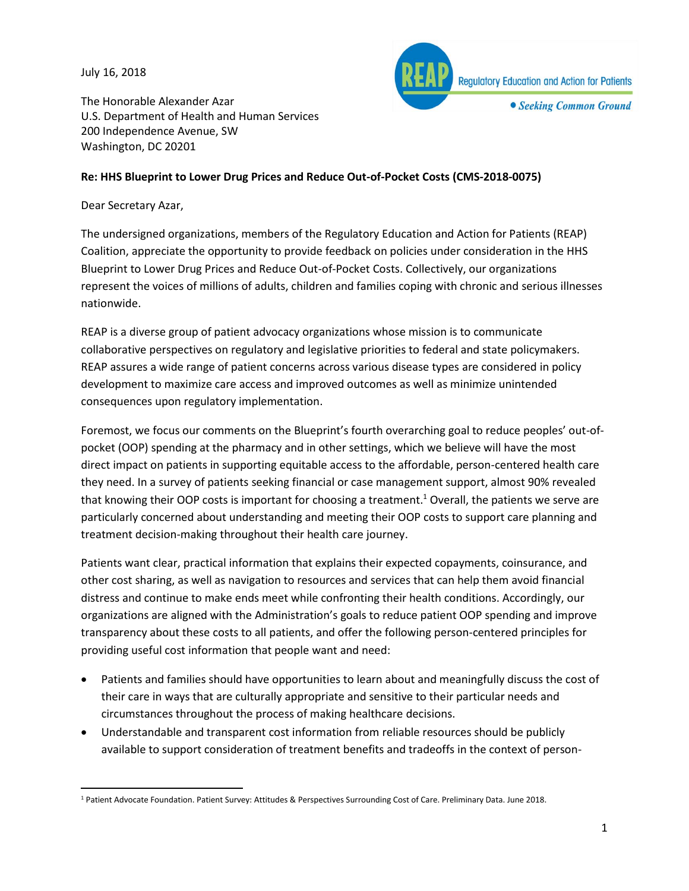July 16, 2018



The Honorable Alexander Azar U.S. Department of Health and Human Services 200 Independence Avenue, SW Washington, DC 20201

## **Re: HHS Blueprint to Lower Drug Prices and Reduce Out-of-Pocket Costs (CMS-2018-0075)**

### Dear Secretary Azar,

The undersigned organizations, members of the Regulatory Education and Action for Patients (REAP) Coalition, appreciate the opportunity to provide feedback on policies under consideration in the HHS Blueprint to Lower Drug Prices and Reduce Out-of-Pocket Costs. Collectively, our organizations represent the voices of millions of adults, children and families coping with chronic and serious illnesses nationwide.

REAP is a diverse group of patient advocacy organizations whose mission is to communicate collaborative perspectives on regulatory and legislative priorities to federal and state policymakers. REAP assures a wide range of patient concerns across various disease types are considered in policy development to maximize care access and improved outcomes as well as minimize unintended consequences upon regulatory implementation.

Foremost, we focus our comments on the Blueprint's fourth overarching goal to reduce peoples' out-ofpocket (OOP) spending at the pharmacy and in other settings, which we believe will have the most direct impact on patients in supporting equitable access to the affordable, person-centered health care they need. In a survey of patients seeking financial or case management support, almost 90% revealed that knowing their OOP costs is important for choosing a treatment. <sup>1</sup> Overall, the patients we serve are particularly concerned about understanding and meeting their OOP costs to support care planning and treatment decision-making throughout their health care journey.

Patients want clear, practical information that explains their expected copayments, coinsurance, and other cost sharing, as well as navigation to resources and services that can help them avoid financial distress and continue to make ends meet while confronting their health conditions. Accordingly, our organizations are aligned with the Administration's goals to reduce patient OOP spending and improve transparency about these costs to all patients, and offer the following person-centered principles for providing useful cost information that people want and need:

- Patients and families should have opportunities to learn about and meaningfully discuss the cost of their care in ways that are culturally appropriate and sensitive to their particular needs and circumstances throughout the process of making healthcare decisions.
- Understandable and transparent cost information from reliable resources should be publicly available to support consideration of treatment benefits and tradeoffs in the context of person-

 $\overline{a}$ <sup>1</sup> Patient Advocate Foundation. Patient Survey: Attitudes & Perspectives Surrounding Cost of Care. Preliminary Data. June 2018.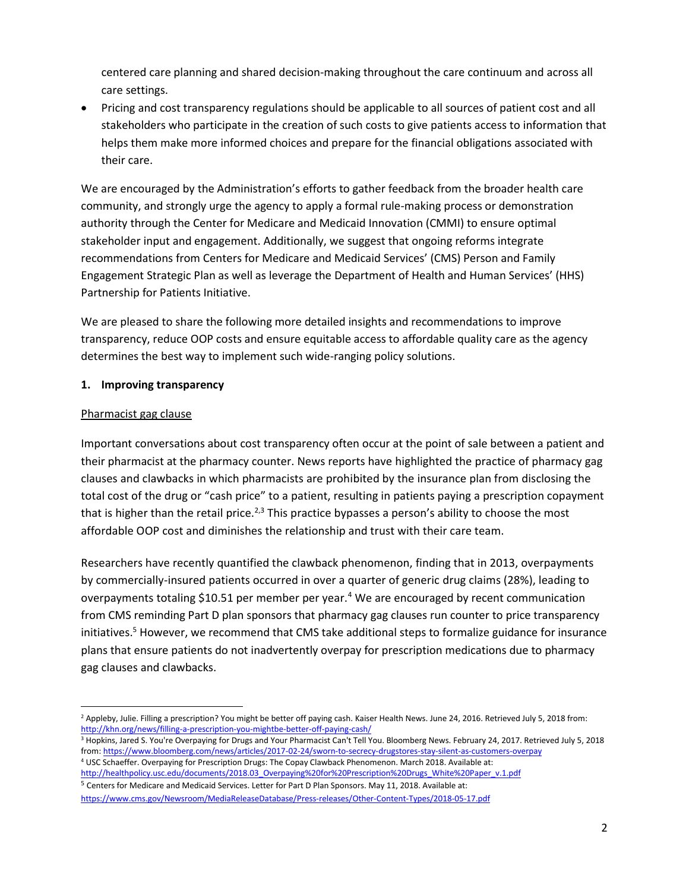centered care planning and shared decision-making throughout the care continuum and across all care settings.

• Pricing and cost transparency regulations should be applicable to all sources of patient cost and all stakeholders who participate in the creation of such costs to give patients access to information that helps them make more informed choices and prepare for the financial obligations associated with their care.

We are encouraged by the Administration's efforts to gather feedback from the broader health care community, and strongly urge the agency to apply a formal rule-making process or demonstration authority through the Center for Medicare and Medicaid Innovation (CMMI) to ensure optimal stakeholder input and engagement. Additionally, we suggest that ongoing reforms integrate recommendations from Centers for Medicare and Medicaid Services' (CMS) Person and Family Engagement Strategic Plan as well as leverage the Department of Health and Human Services' (HHS) Partnership for Patients Initiative.

We are pleased to share the following more detailed insights and recommendations to improve transparency, reduce OOP costs and ensure equitable access to affordable quality care as the agency determines the best way to implement such wide-ranging policy solutions.

## **1. Improving transparency**

## Pharmacist gag clause

Important conversations about cost transparency often occur at the point of sale between a patient and their pharmacist at the pharmacy counter. News reports have highlighted the practice of pharmacy gag clauses and clawbacks in which pharmacists are prohibited by the insurance plan from disclosing the total cost of the drug or "cash price" to a patient, resulting in patients paying a prescription copayment that is higher than the retail price.<sup>2,3</sup> This practice bypasses a person's ability to choose the most affordable OOP cost and diminishes the relationship and trust with their care team.

Researchers have recently quantified the clawback phenomenon, finding that in 2013, overpayments by commercially-insured patients occurred in over a quarter of generic drug claims (28%), leading to overpayments totaling \$10.51 per member per year.<sup>4</sup> We are encouraged by recent communication from CMS reminding Part D plan sponsors that pharmacy gag clauses run counter to price transparency initiatives.<sup>5</sup> However, we recommend that CMS take additional steps to formalize guidance for insurance plans that ensure patients do not inadvertently overpay for prescription medications due to pharmacy gag clauses and clawbacks.

 $\overline{\phantom{a}}$ <sup>2</sup> Appleby, Julie. Filling a prescription? You might be better off paying cash. Kaiser Health News. June 24, 2016. Retrieved July 5, 2018 from: <http://khn.org/news/filling-a-prescription-you-mightbe-better-off-paying-cash/>

<sup>&</sup>lt;sup>3</sup> Hopkins, Jared S. You're Overpaying for Drugs and Your Pharmacist Can't Tell You. Bloomberg News. February 24, 2017. Retrieved July 5, 2018 from: <https://www.bloomberg.com/news/articles/2017-02-24/sworn-to-secrecy-drugstores-stay-silent-as-customers-overpay> <sup>4</sup> USC Schaeffer. Overpaying for Prescription Drugs: The Copay Clawback Phenomenon. March 2018. Available at:

[http://healthpolicy.usc.edu/documents/2018.03\\_Overpaying%20for%20Prescription%20Drugs\\_White%20Paper\\_v.1.pdf](http://healthpolicy.usc.edu/documents/2018.03_Overpaying%20for%20Prescription%20Drugs_White%20Paper_v.1.pdf) <sup>5</sup> Centers for Medicare and Medicaid Services. Letter for Part D Plan Sponsors. May 11, 2018. Available at:

<https://www.cms.gov/Newsroom/MediaReleaseDatabase/Press-releases/Other-Content-Types/2018-05-17.pdf>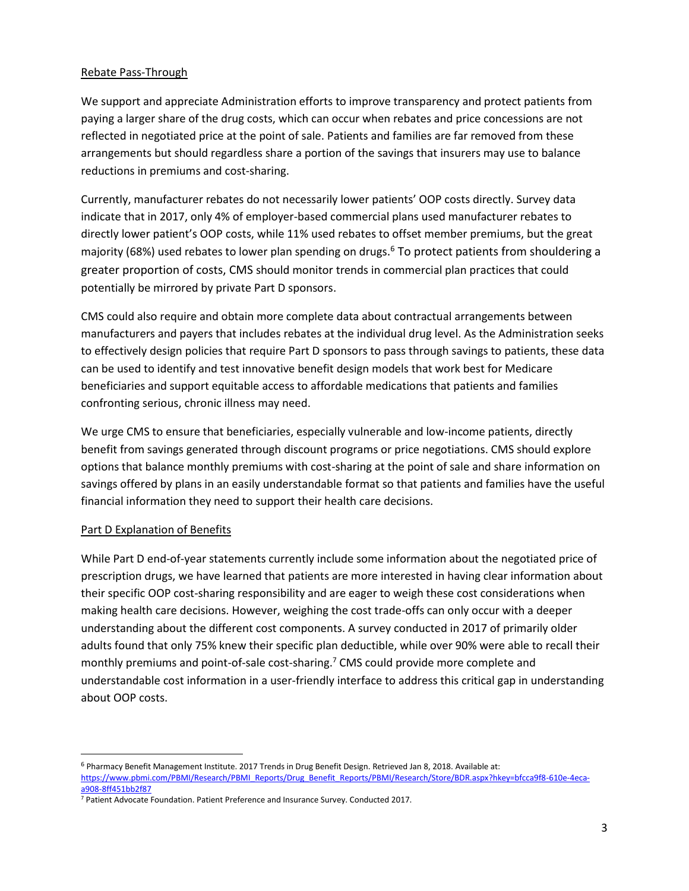#### Rebate Pass-Through

We support and appreciate Administration efforts to improve transparency and protect patients from paying a larger share of the drug costs, which can occur when rebates and price concessions are not reflected in negotiated price at the point of sale. Patients and families are far removed from these arrangements but should regardless share a portion of the savings that insurers may use to balance reductions in premiums and cost-sharing.

Currently, manufacturer rebates do not necessarily lower patients' OOP costs directly. Survey data indicate that in 2017, only 4% of employer-based commercial plans used manufacturer rebates to directly lower patient's OOP costs, while 11% used rebates to offset member premiums, but the great majority (68%) used rebates to lower plan spending on drugs.<sup>6</sup> To protect patients from shouldering a greater proportion of costs, CMS should monitor trends in commercial plan practices that could potentially be mirrored by private Part D sponsors.

CMS could also require and obtain more complete data about contractual arrangements between manufacturers and payers that includes rebates at the individual drug level. As the Administration seeks to effectively design policies that require Part D sponsors to pass through savings to patients, these data can be used to identify and test innovative benefit design models that work best for Medicare beneficiaries and support equitable access to affordable medications that patients and families confronting serious, chronic illness may need.

We urge CMS to ensure that beneficiaries, especially vulnerable and low-income patients, directly benefit from savings generated through discount programs or price negotiations. CMS should explore options that balance monthly premiums with cost-sharing at the point of sale and share information on savings offered by plans in an easily understandable format so that patients and families have the useful financial information they need to support their health care decisions.

### Part D Explanation of Benefits

 $\overline{\phantom{a}}$ 

While Part D end-of-year statements currently include some information about the negotiated price of prescription drugs, we have learned that patients are more interested in having clear information about their specific OOP cost-sharing responsibility and are eager to weigh these cost considerations when making health care decisions. However, weighing the cost trade-offs can only occur with a deeper understanding about the different cost components. A survey conducted in 2017 of primarily older adults found that only 75% knew their specific plan deductible, while over 90% were able to recall their monthly premiums and point-of-sale cost-sharing.<sup>7</sup> CMS could provide more complete and understandable cost information in a user-friendly interface to address this critical gap in understanding about OOP costs.

<sup>6</sup> Pharmacy Benefit Management Institute. 2017 Trends in Drug Benefit Design. Retrieved Jan 8, 2018. Available at: [https://www.pbmi.com/PBMI/Research/PBMI\\_Reports/Drug\\_Benefit\\_Reports/PBMI/Research/Store/BDR.aspx?hkey=bfcca9f8-610e-4eca](https://www.pbmi.com/PBMI/Research/PBMI_Reports/Drug_Benefit_Reports/PBMI/Research/Store/BDR.aspx?hkey=bfcca9f8-610e-4eca-a908-8ff451bb2f87)[a908-8ff451bb2f87](https://www.pbmi.com/PBMI/Research/PBMI_Reports/Drug_Benefit_Reports/PBMI/Research/Store/BDR.aspx?hkey=bfcca9f8-610e-4eca-a908-8ff451bb2f87) 

<sup>7</sup> Patient Advocate Foundation. Patient Preference and Insurance Survey. Conducted 2017.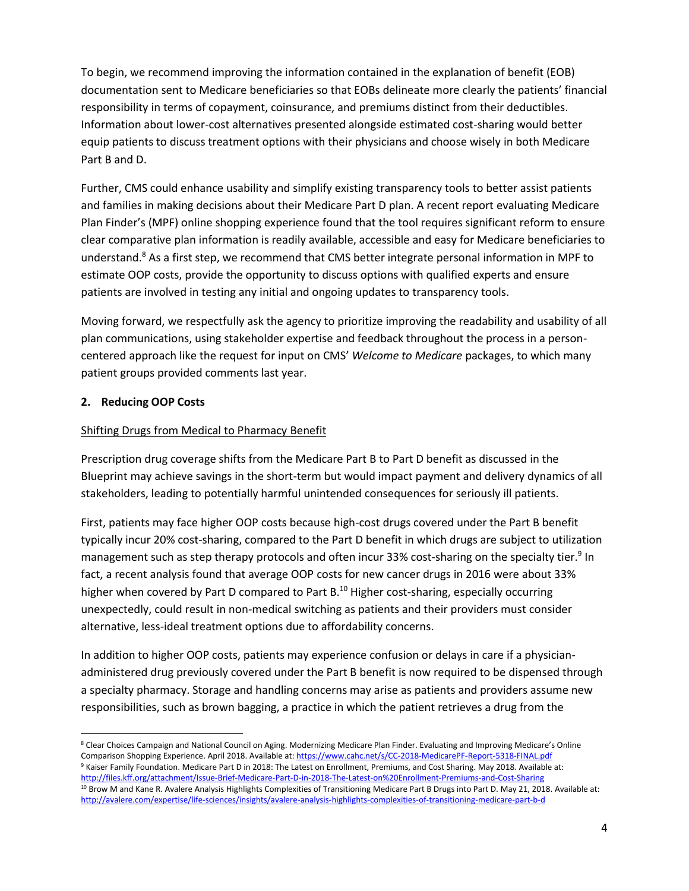To begin, we recommend improving the information contained in the explanation of benefit (EOB) documentation sent to Medicare beneficiaries so that EOBs delineate more clearly the patients' financial responsibility in terms of copayment, coinsurance, and premiums distinct from their deductibles. Information about lower-cost alternatives presented alongside estimated cost-sharing would better equip patients to discuss treatment options with their physicians and choose wisely in both Medicare Part B and D.

Further, CMS could enhance usability and simplify existing transparency tools to better assist patients and families in making decisions about their Medicare Part D plan. A recent report evaluating Medicare Plan Finder's (MPF) online shopping experience found that the tool requires significant reform to ensure clear comparative plan information is readily available, accessible and easy for Medicare beneficiaries to understand.<sup>8</sup> As a first step, we recommend that CMS better integrate personal information in MPF to estimate OOP costs, provide the opportunity to discuss options with qualified experts and ensure patients are involved in testing any initial and ongoing updates to transparency tools.

Moving forward, we respectfully ask the agency to prioritize improving the readability and usability of all plan communications, using stakeholder expertise and feedback throughout the process in a personcentered approach like the request for input on CMS' *Welcome to Medicare* packages, to which many patient groups provided comments last year.

## **2. Reducing OOP Costs**

# Shifting Drugs from Medical to Pharmacy Benefit

Prescription drug coverage shifts from the Medicare Part B to Part D benefit as discussed in the Blueprint may achieve savings in the short-term but would impact payment and delivery dynamics of all stakeholders, leading to potentially harmful unintended consequences for seriously ill patients.

First, patients may face higher OOP costs because high-cost drugs covered under the Part B benefit typically incur 20% cost-sharing, compared to the Part D benefit in which drugs are subject to utilization management such as step therapy protocols and often incur 33% cost-sharing on the specialty tier.<sup>9</sup> In fact, a recent analysis found that average OOP costs for new cancer drugs in 2016 were about 33% higher when covered by Part D compared to Part B.<sup>10</sup> Higher cost-sharing, especially occurring unexpectedly, could result in non-medical switching as patients and their providers must consider alternative, less-ideal treatment options due to affordability concerns.

In addition to higher OOP costs, patients may experience confusion or delays in care if a physicianadministered drug previously covered under the Part B benefit is now required to be dispensed through a specialty pharmacy. Storage and handling concerns may arise as patients and providers assume new responsibilities, such as brown bagging, a practice in which the patient retrieves a drug from the

 $\overline{\phantom{a}}$ <sup>8</sup> Clear Choices Campaign and National Council on Aging. Modernizing Medicare Plan Finder. Evaluating and Improving Medicare's Online Comparison Shopping Experience. April 2018. Available at[: https://www.cahc.net/s/CC-2018-MedicarePF-Report-5318-FINAL.pdf](https://www.cahc.net/s/CC-2018-MedicarePF-Report-5318-FINAL.pdf) <sup>9</sup> Kaiser Family Foundation. Medicare Part D in 2018: The Latest on Enrollment, Premiums, and Cost Sharing. May 2018. Available at: <http://files.kff.org/attachment/Issue-Brief-Medicare-Part-D-in-2018-The-Latest-on%20Enrollment-Premiums-and-Cost-Sharing>

<sup>&</sup>lt;sup>10</sup> Brow M and Kane R. Avalere Analysis Highlights Complexities of Transitioning Medicare Part B Drugs into Part D. May 21, 2018. Available at: <http://avalere.com/expertise/life-sciences/insights/avalere-analysis-highlights-complexities-of-transitioning-medicare-part-b-d>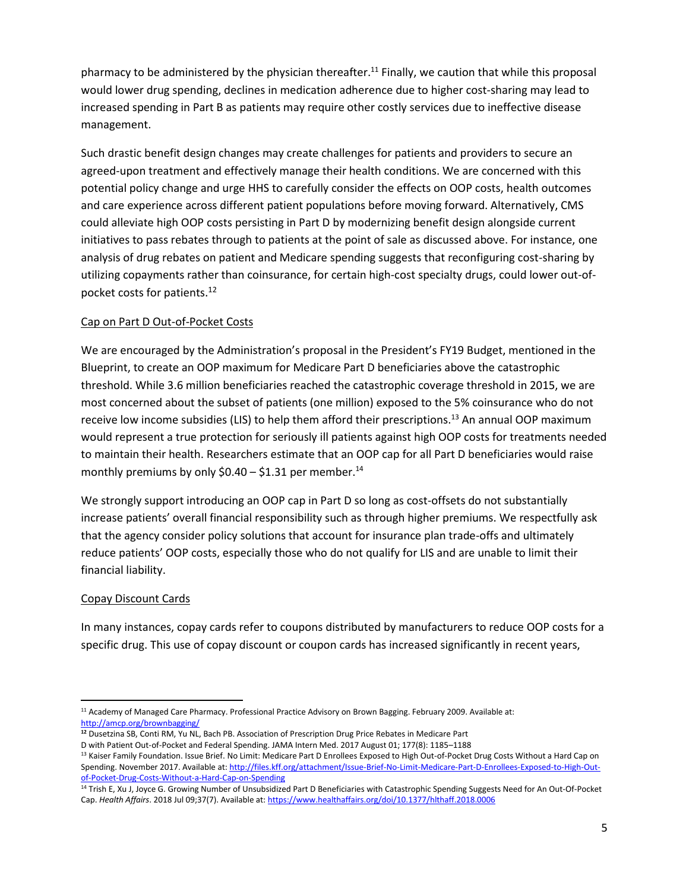pharmacy to be administered by the physician thereafter.<sup>11</sup> Finally, we caution that while this proposal would lower drug spending, declines in medication adherence due to higher cost-sharing may lead to increased spending in Part B as patients may require other costly services due to ineffective disease management.

Such drastic benefit design changes may create challenges for patients and providers to secure an agreed-upon treatment and effectively manage their health conditions. We are concerned with this potential policy change and urge HHS to carefully consider the effects on OOP costs, health outcomes and care experience across different patient populations before moving forward. Alternatively, CMS could alleviate high OOP costs persisting in Part D by modernizing benefit design alongside current initiatives to pass rebates through to patients at the point of sale as discussed above. For instance, one analysis of drug rebates on patient and Medicare spending suggests that reconfiguring cost-sharing by utilizing copayments rather than coinsurance, for certain high-cost specialty drugs, could lower out-ofpocket costs for patients. 12

## Cap on Part D Out-of-Pocket Costs

We are encouraged by the Administration's proposal in the President's FY19 Budget, mentioned in the Blueprint, to create an OOP maximum for Medicare Part D beneficiaries above the catastrophic threshold. While 3.6 million beneficiaries reached the catastrophic coverage threshold in 2015, we are most concerned about the subset of patients (one million) exposed to the 5% coinsurance who do not receive low income subsidies (LIS) to help them afford their prescriptions.<sup>13</sup> An annual OOP maximum would represent a true protection for seriously ill patients against high OOP costs for treatments needed to maintain their health. Researchers estimate that an OOP cap for all Part D beneficiaries would raise monthly premiums by only  $$0.40 - $1.31$  per member.<sup>14</sup>

We strongly support introducing an OOP cap in Part D so long as cost-offsets do not substantially increase patients' overall financial responsibility such as through higher premiums. We respectfully ask that the agency consider policy solutions that account for insurance plan trade-offs and ultimately reduce patients' OOP costs, especially those who do not qualify for LIS and are unable to limit their financial liability.

### Copay Discount Cards

In many instances, copay cards refer to coupons distributed by manufacturers to reduce OOP costs for a specific drug. This use of copay discount or coupon cards has increased significantly in recent years,

 $\overline{\phantom{a}}$ <sup>11</sup> Academy of Managed Care Pharmacy. Professional Practice Advisory on Brown Bagging. February 2009. Available at: <http://amcp.org/brownbagging/>

**<sup>12</sup>** Dusetzina SB, Conti RM, Yu NL, Bach PB. Association of Prescription Drug Price Rebates in Medicare Part D with Patient Out-of-Pocket and Federal Spending. JAMA Intern Med. 2017 August 01; 177(8): 1185–1188

<sup>&</sup>lt;sup>13</sup> Kaiser Family Foundation. Issue Brief. No Limit: Medicare Part D Enrollees Exposed to High Out-of-Pocket Drug Costs Without a Hard Cap on Spending. November 2017. Available at[: http://files.kff.org/attachment/Issue-Brief-No-Limit-Medicare-Part-D-Enrollees-Exposed-to-High-Out](http://files.kff.org/attachment/Issue-Brief-No-Limit-Medicare-Part-D-Enrollees-Exposed-to-High-Out-of-Pocket-Drug-Costs-Without-a-Hard-Cap-on-Spending)[of-Pocket-Drug-Costs-Without-a-Hard-Cap-on-Spending](http://files.kff.org/attachment/Issue-Brief-No-Limit-Medicare-Part-D-Enrollees-Exposed-to-High-Out-of-Pocket-Drug-Costs-Without-a-Hard-Cap-on-Spending)

<sup>&</sup>lt;sup>14</sup> Trish E, Xu J, Joyce G. Growing Number of Unsubsidized Part D Beneficiaries with Catastrophic Spending Suggests Need for An Out-Of-Pocket Cap. *Health Affairs*. 2018 Jul 09;37(7). Available at[: https://www.healthaffairs.org/doi/10.1377/hlthaff.2018.0006](https://www.healthaffairs.org/doi/10.1377/hlthaff.2018.0006)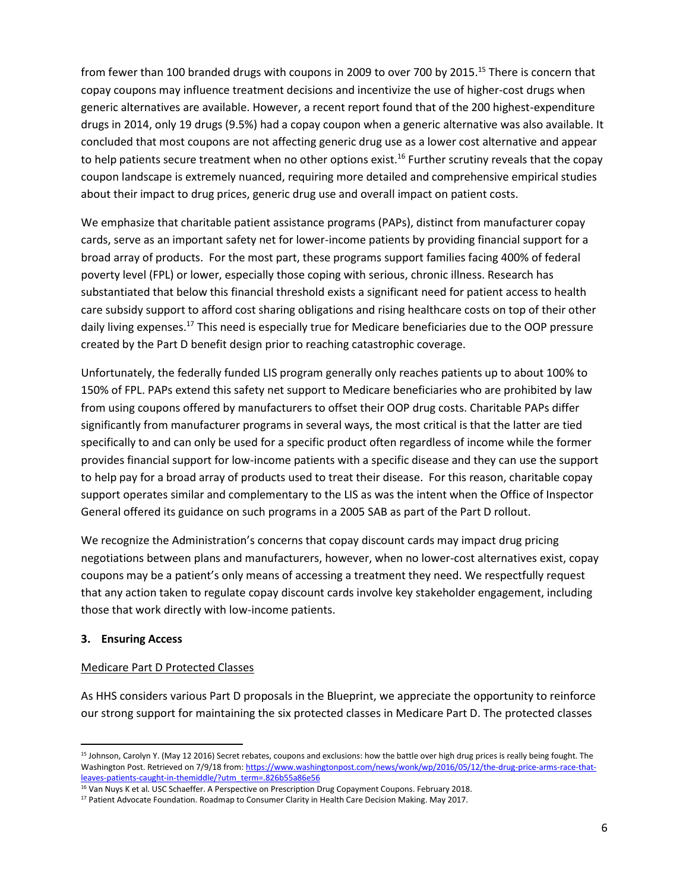from fewer than 100 branded drugs with coupons in 2009 to over 700 by 2015.<sup>15</sup> There is concern that copay coupons may influence treatment decisions and incentivize the use of higher-cost drugs when generic alternatives are available. However, a recent report found that of the 200 highest-expenditure drugs in 2014, only 19 drugs (9.5%) had a copay coupon when a generic alternative was also available. It concluded that most coupons are not affecting generic drug use as a lower cost alternative and appear to help patients secure treatment when no other options exist.<sup>16</sup> Further scrutiny reveals that the copay coupon landscape is extremely nuanced, requiring more detailed and comprehensive empirical studies about their impact to drug prices, generic drug use and overall impact on patient costs.

We emphasize that charitable patient assistance programs (PAPs), distinct from manufacturer copay cards, serve as an important safety net for lower-income patients by providing financial support for a broad array of products. For the most part, these programs support families facing 400% of federal poverty level (FPL) or lower, especially those coping with serious, chronic illness. Research has substantiated that below this financial threshold exists a significant need for patient access to health care subsidy support to afford cost sharing obligations and rising healthcare costs on top of their other daily living expenses.<sup>17</sup> This need is especially true for Medicare beneficiaries due to the OOP pressure created by the Part D benefit design prior to reaching catastrophic coverage.

Unfortunately, the federally funded LIS program generally only reaches patients up to about 100% to 150% of FPL. PAPs extend this safety net support to Medicare beneficiaries who are prohibited by law from using coupons offered by manufacturers to offset their OOP drug costs. Charitable PAPs differ significantly from manufacturer programs in several ways, the most critical is that the latter are tied specifically to and can only be used for a specific product often regardless of income while the former provides financial support for low-income patients with a specific disease and they can use the support to help pay for a broad array of products used to treat their disease. For this reason, charitable copay support operates similar and complementary to the LIS as was the intent when the Office of Inspector General offered its guidance on such programs in a 2005 SAB as part of the Part D rollout.

We recognize the Administration's concerns that copay discount cards may impact drug pricing negotiations between plans and manufacturers, however, when no lower-cost alternatives exist, copay coupons may be a patient's only means of accessing a treatment they need. We respectfully request that any action taken to regulate copay discount cards involve key stakeholder engagement, including those that work directly with low-income patients.

### **3. Ensuring Access**

 $\overline{\phantom{a}}$ 

### Medicare Part D Protected Classes

As HHS considers various Part D proposals in the Blueprint, we appreciate the opportunity to reinforce our strong support for maintaining the six protected classes in Medicare Part D. The protected classes

<sup>&</sup>lt;sup>15</sup> Johnson, Carolyn Y. (May 12 2016) Secret rebates, coupons and exclusions: how the battle over high drug prices is really being fought. The Washington Post. Retrieved on 7/9/18 from: [https://www.washingtonpost.com/news/wonk/wp/2016/05/12/the-drug-price-arms-race-that](https://www.washingtonpost.com/news/wonk/wp/2016/05/12/the-drug-price-arms-race-that-leaves-patients-caught-in-themiddle/?utm_term=.826b55a86e56)[leaves-patients-caught-in-themiddle/?utm\\_term=.826b55a86e56](https://www.washingtonpost.com/news/wonk/wp/2016/05/12/the-drug-price-arms-race-that-leaves-patients-caught-in-themiddle/?utm_term=.826b55a86e56)

<sup>&</sup>lt;sup>16</sup> Van Nuys K et al. USC Schaeffer. A Perspective on Prescription Drug Copayment Coupons. February 2018.

<sup>&</sup>lt;sup>17</sup> Patient Advocate Foundation. Roadmap to Consumer Clarity in Health Care Decision Making. May 2017.